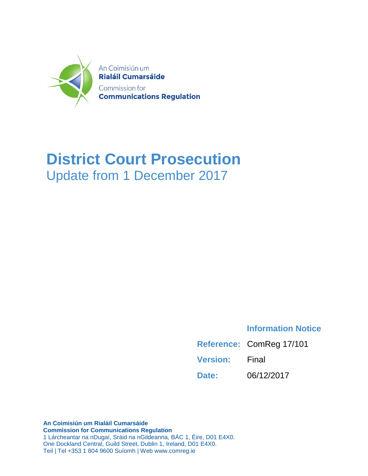

## **District Court Prosecution** Update from 1 December 2017

## **Information Notice**

|                       | Reference: ComReg 17/101 |
|-----------------------|--------------------------|
| <b>Version:</b> Final |                          |
| Date:                 | 06/12/2017               |

**An Coimisiún um Rialáil Cumarsáide Commission for Communications Regulation** 1 Lárcheantar na nDugaí, Sráid na nGildeanna, BÁC 1, Éire, D01 E4X0. One Dockland Central, Guild Street, Dublin 1, Ireland, D01 E4X0. Teil | Tel +353 1 804 9600 Suíomh | Web www.comreg.ie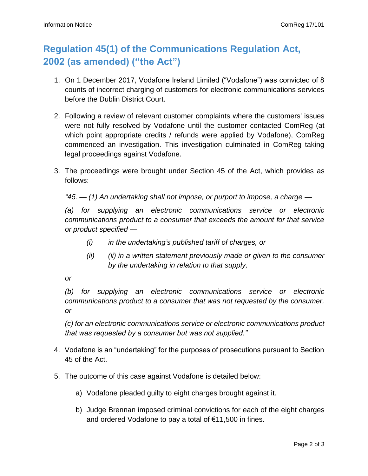## **Regulation 45(1) of the Communications Regulation Act, 2002 (as amended) ("the Act")**

- 1. On 1 December 2017, Vodafone Ireland Limited ("Vodafone") was convicted of 8 counts of incorrect charging of customers for electronic communications services before the Dublin District Court.
- 2. Following a review of relevant customer complaints where the customers' issues were not fully resolved by Vodafone until the customer contacted ComReg (at which point appropriate credits / refunds were applied by Vodafone), ComReg commenced an investigation. This investigation culminated in ComReg taking legal proceedings against Vodafone.
- 3. The proceedings were brought under Section 45 of the Act, which provides as follows:

*"45. — (1) An undertaking shall not impose, or purport to impose, a charge —*

*(a) for supplying an electronic communications service or electronic communications product to a consumer that exceeds the amount for that service or product specified —*

- *(i) in the undertaking's published tariff of charges, or*
- *(ii) (ii) in a written statement previously made or given to the consumer by the undertaking in relation to that supply,*

*or*

*(b) for supplying an electronic communications service or electronic communications product to a consumer that was not requested by the consumer, or*

*(c) for an electronic communications service or electronic communications product that was requested by a consumer but was not supplied."*

- 4. Vodafone is an "undertaking" for the purposes of prosecutions pursuant to Section 45 of the Act.
- 5. The outcome of this case against Vodafone is detailed below:
	- a) Vodafone pleaded guilty to eight charges brought against it.
	- b) Judge Brennan imposed criminal convictions for each of the eight charges and ordered Vodafone to pay a total of €11,500 in fines.